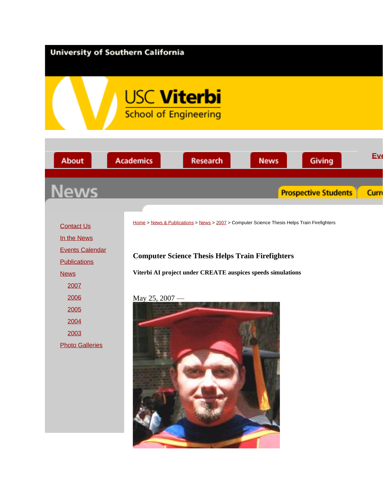## University of Southern California





[Contact Us](http://viterbi.usc.edu/news/contact_us.htm) [In the News](http://viterbi.usc.edu/news/inthenews/) [Events Calendar](http://viterbi.usc.edu/news/events/) **[Publications](http://viterbi.usc.edu/news/publications/) [News](http://viterbi.usc.edu/news/news/)** [2007](http://viterbi.usc.edu/news/news/2007/) [2006](http://viterbi.usc.edu/news/news/2006/) [2005](http://viterbi.usc.edu/news/news/2005/) [2004](http://viterbi.usc.edu/news/news/2004/) [2003](http://viterbi.usc.edu/news/news/2003/) [Photo Galleries](http://viterbi.usc.edu/news/galleries/)

[Home](http://viterbi.usc.edu/) [> News & Publications](http://viterbi.usc.edu/news/) [> News](http://viterbi.usc.edu/news/news/) [> 2007](http://viterbi.usc.edu/news/news/2007/) > Computer Science Thesis Helps Train Firefighters

## **Computer Science Thesis Helps Train Firefighters**

**Viterbi AI project under CREATE auspices speeds simulations**

## May 25, 2007 —

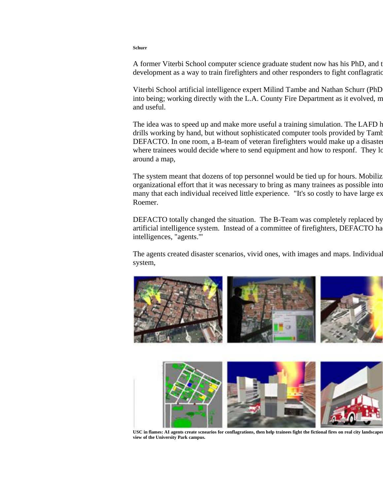**Schurr**

A former Viterbi School computer science graduate student now has his PhD, and t development as a way to train firefighters and other responders to fight conflagrations.

Viterbi School artificial intelligence expert Milind Tambe and Nathan Schurr (PhD into being; working directly with the L.A. County Fire Department as it evolved, m and useful.

The idea was to speed up and make more useful a training simulation. The LAFD had drills working by hand, but without sophisticated computer tools provided by Tamb DEFACTO. In one room, a B-team of veteran firefighters would make up a disaster, where trainees would decide where to send equipment and how to responf. They looked at crude pictures models models moved models at crude pictures models at crude models models at crude models. They look at crude models mo around a map,

The system meant that dozens of top personnel would be tied up for hours. Mobiliz organizational effort that it was necessary to bring as many trainees as possible into many that each individual received little experience. "It's so costly to have large ex Roemer.

DEFACTO totally changed the situation. The B-Team was completely replaced by artificial intelligence system. Instead of a committee of firefighters, DEFACTO ha intelligences, "agents.'"

The agents created disaster scenarios, vivid ones, with images and maps. Individual system,



**USC in flames: AI agents create scnearios for conflagrations, then help trainees fight the fictional fires on real city landscapes, such as this view of the University Park campus.**